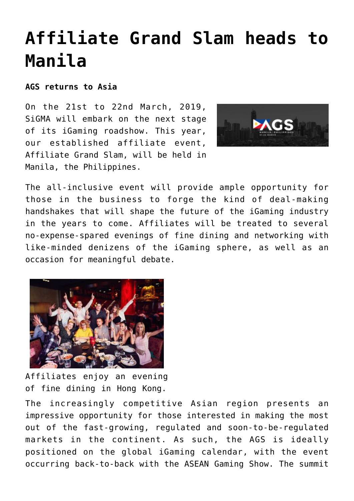## **[Affiliate Grand Slam heads to](https://www.isa-guide.de/isa-messen/isa-messen-englisch/articles/187630.html) [Manila](https://www.isa-guide.de/isa-messen/isa-messen-englisch/articles/187630.html)**

## **AGS returns to Asia**

On the 21st to 22nd March, 2019, SiGMA will embark on the next stage of its iGaming roadshow. This year, our established affiliate event, Affiliate Grand Slam, will be held in Manila, the Philippines.



The all-inclusive event will provide ample opportunity for those in the business to forge the kind of deal-making handshakes that will shape the future of the iGaming industry in the years to come. Affiliates will be treated to several no-expense-spared evenings of fine dining and networking with like-minded denizens of the iGaming sphere, as well as an occasion for meaningful debate.



Affiliates enjoy an evening of fine dining in Hong Kong.

The increasingly competitive Asian region presents an impressive opportunity for those interested in making the most out of the fast-growing, regulated and soon-to-be-regulated markets in the continent. As such, the AGS is ideally positioned on the global iGaming calendar, with the event occurring back-to-back with the ASEAN Gaming Show. The summit